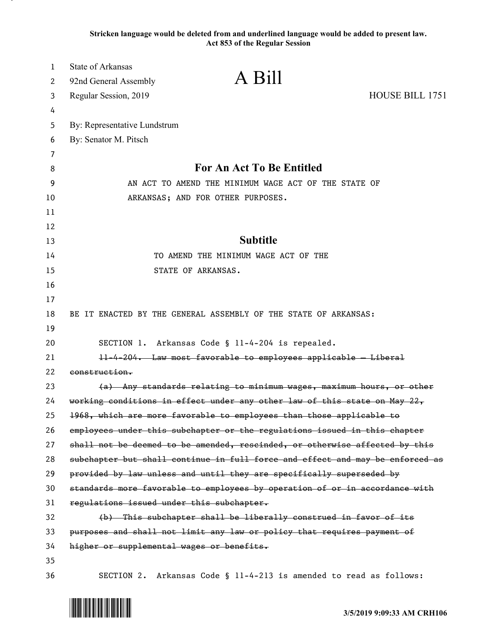**Stricken language would be deleted from and underlined language would be added to present law. Act 853 of the Regular Session**

| 1  | <b>State of Arkansas</b>                  | A Bill                                                                        |                 |
|----|-------------------------------------------|-------------------------------------------------------------------------------|-----------------|
| 2  | 92nd General Assembly                     |                                                                               |                 |
| 3  | Regular Session, 2019                     |                                                                               | HOUSE BILL 1751 |
| 4  |                                           |                                                                               |                 |
| 5  | By: Representative Lundstrum              |                                                                               |                 |
| 6  | By: Senator M. Pitsch                     |                                                                               |                 |
| 7  |                                           |                                                                               |                 |
| 8  |                                           | For An Act To Be Entitled                                                     |                 |
| 9  |                                           | AN ACT TO AMEND THE MINIMUM WAGE ACT OF THE STATE OF                          |                 |
| 10 |                                           | ARKANSAS; AND FOR OTHER PURPOSES.                                             |                 |
| 11 |                                           |                                                                               |                 |
| 12 |                                           |                                                                               |                 |
| 13 |                                           | <b>Subtitle</b>                                                               |                 |
| 14 |                                           | TO AMEND THE MINIMUM WAGE ACT OF THE                                          |                 |
| 15 |                                           | STATE OF ARKANSAS.                                                            |                 |
| 16 |                                           |                                                                               |                 |
| 17 |                                           |                                                                               |                 |
| 18 |                                           | BE IT ENACTED BY THE GENERAL ASSEMBLY OF THE STATE OF ARKANSAS:               |                 |
| 19 |                                           |                                                                               |                 |
| 20 |                                           | SECTION 1. Arkansas Code § 11-4-204 is repealed.                              |                 |
| 21 |                                           | 11-4-204. Law most favorable to employees applicable - Liberal                |                 |
| 22 | construction.                             |                                                                               |                 |
| 23 |                                           | (a) Any standards relating to minimum wages, maximum hours, or other          |                 |
| 24 |                                           | working conditions in effect under any other law of this state on May 22,     |                 |
| 25 |                                           | 1968, which are more favorable to employees than those applicable to          |                 |
| 26 |                                           | employees under this subchapter or the regulations issued in this chapter     |                 |
| 27 |                                           | shall not be deemed to be amended, rescinded, or otherwise affected by this   |                 |
| 28 |                                           | subchapter but shall continue in full force and effect and may be enforced as |                 |
| 29 |                                           | provided by law unless and until they are specifically superseded by          |                 |
| 30 |                                           | standards more favorable to employees by operation of or in accordance with   |                 |
| 31 | regulations issued under this subchapter. |                                                                               |                 |
| 32 |                                           | (b) This subchapter shall be liberally construed in favor of its              |                 |
| 33 |                                           | purposes and shall not limit any law or policy that requires payment of       |                 |
| 34 | higher or supplemental wages or benefits. |                                                                               |                 |
| 35 |                                           |                                                                               |                 |
| 36 | SECTION 2.                                | Arkansas Code § 11-4-213 is amended to read as follows:                       |                 |

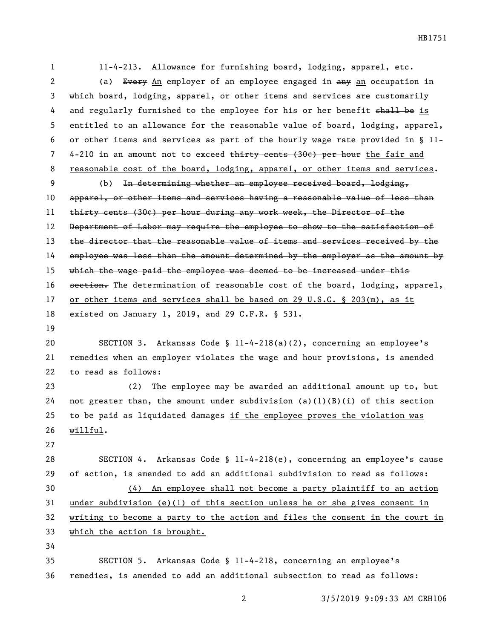11-4-213. Allowance for furnishing board, lodging, apparel, etc. 2 (a) Every An employer of an employee engaged in any an occupation in which board, lodging, apparel, or other items and services are customarily 4 and regularly furnished to the employee for his or her benefit shall be is entitled to an allowance for the reasonable value of board, lodging, apparel, or other items and services as part of the hourly wage rate provided in § 11- 7 4-210 in an amount not to exceed thirty cents (30¢) per hour the fair and 8 reasonable cost of the board, lodging, apparel, or other items and services. (b) In determining whether an employee received board, lodging, 10 apparel, or other items and services having a reasonable value of less than thirty cents (30¢) per hour during any work week, the Director of the 12 Department of Labor may require the employee to show to the satisfaction of the director that the reasonable value of items and services received by the 14 employee was less than the amount determined by the employer as the amount by 15 which the wage paid the employee was deemed to be increased under this 16 section. The determination of reasonable cost of the board, lodging, apparel, 17 or other items and services shall be based on 29 U.S.C. § 203(m), as it existed on January 1, 2019, and 29 C.F.R. § 531. SECTION 3. Arkansas Code § 11-4-218(a)(2), concerning an employee's remedies when an employer violates the wage and hour provisions, is amended to read as follows: (2) The employee may be awarded an additional amount up to, but 24 not greater than, the amount under subdivision  $(a)(1)(B)(i)$  of this section to be paid as liquidated damages if the employee proves the violation was willful. SECTION 4. Arkansas Code § 11-4-218(e), concerning an employee's cause of action, is amended to add an additional subdivision to read as follows: (4) An employee shall not become a party plaintiff to an action under subdivision (e)(1) of this section unless he or she gives consent in writing to become a party to the action and files the consent in the court in which the action is brought. SECTION 5. Arkansas Code § 11-4-218, concerning an employee's remedies, is amended to add an additional subsection to read as follows:

HB1751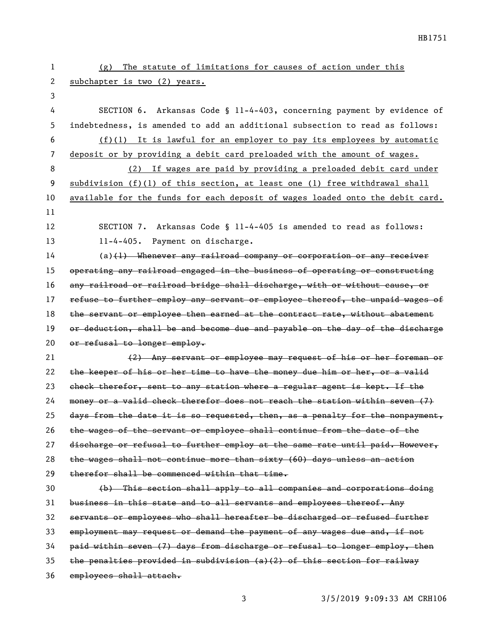| 1  | The statute of limitations for causes of action under this<br>(g)             |
|----|-------------------------------------------------------------------------------|
| 2  | subchapter is two (2) years.                                                  |
| 3  |                                                                               |
| 4  | SECTION 6. Arkansas Code § 11-4-403, concerning payment by evidence of        |
| 5  | indebtedness, is amended to add an additional subsection to read as follows:  |
| 6  | $(f)(1)$ It is lawful for an employer to pay its employees by automatic       |
| 7  | deposit or by providing a debit card preloaded with the amount of wages.      |
| 8  | (2) If wages are paid by providing a preloaded debit card under               |
| 9  | subdivision $(f)(1)$ of this section, at least one (1) free withdrawal shall  |
| 10 | available for the funds for each deposit of wages loaded onto the debit card. |
| 11 |                                                                               |
| 12 | SECTION 7. Arkansas Code § 11-4-405 is amended to read as follows:            |
| 13 | 11-4-405. Payment on discharge.                                               |
| 14 | $(a)$ (1) Whenever any railroad company or corporation or any receiver        |
| 15 | operating any railroad engaged in the business of operating or constructing   |
| 16 | any railroad or railroad bridge shall discharge, with or without cause, or    |
| 17 | refuse to further employ any servant or employee thereof, the unpaid wages of |
| 18 | the servant or employee then earned at the contract rate, without abatement   |
| 19 | or deduction, shall be and become due and payable on the day of the discharge |
| 20 | or refusal to longer employ.                                                  |
| 21 | (2) Any servant or employee may request of his or her foreman or              |
| 22 | the keeper of his or her time to have the money due him or her, or a valid    |
| 23 | check therefor, sent to any station where a regular agent is kept. If the     |
| 24 | money or a valid check therefor does not reach the station within seven (7)   |
| 25 | days from the date it is so requested, then, as a penalty for the nonpayment, |
| 26 | the wages of the servant or employee shall continue from the date of the      |
| 27 | discharge or refusal to further employ at the same rate until paid. However,  |
| 28 | the wages shall not continue more than sixty (60) days unless an action       |
| 29 | therefor shall be commenced within that time.                                 |
| 30 | (b) This section shall apply to all companies and corporations doing          |
| 31 | business in this state and to all servants and employees thereof. Any         |
| 32 | servants or employees who shall hereafter be discharged or refused further    |
| 33 | employment may request or demand the payment of any wages due and, if not     |
| 34 | paid within seven (7) days from discharge or refusal to longer employ, then   |
| 35 | the penalties provided in subdivision $(a)(2)$ of this section for railway    |
| 36 | employees shall attach.                                                       |